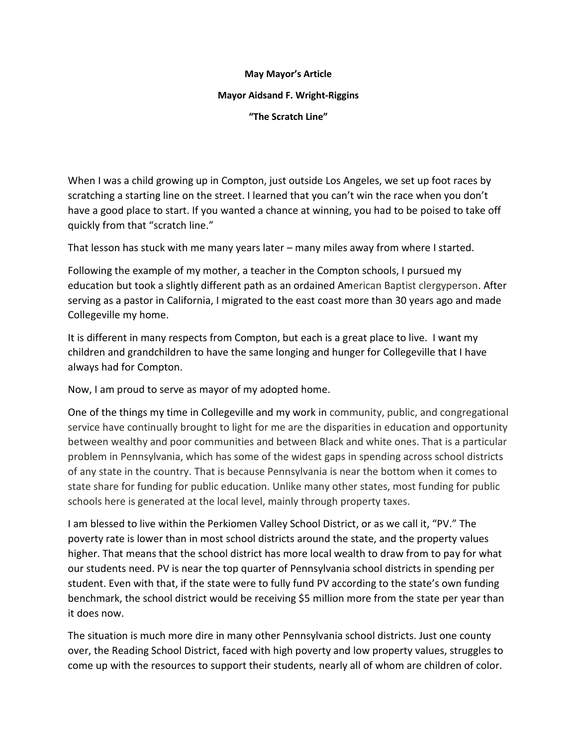## **May Mayor's Article**

## **Mayor Aidsand F. Wright-Riggins**

**"The Scratch Line"** 

When I was a child growing up in Compton, just outside Los Angeles, we set up foot races by scratching a starting line on the street. I learned that you can't win the race when you don't have a good place to start. If you wanted a chance at winning, you had to be poised to take off quickly from that "scratch line."

That lesson has stuck with me many years later – many miles away from where I started.

Following the example of my mother, a teacher in the Compton schools, I pursued my education but took a slightly different path as an ordained American Baptist clergyperson. After serving as a pastor in California, I migrated to the east coast more than 30 years ago and made Collegeville my home.

It is different in many respects from Compton, but each is a great place to live. I want my children and grandchildren to have the same longing and hunger for Collegeville that I have always had for Compton.

Now, I am proud to serve as mayor of my adopted home.

One of the things my time in Collegeville and my work in community, public, and congregational service have continually brought to light for me are the disparities in education and opportunity between wealthy and poor communities and between Black and white ones. That is a particular problem in Pennsylvania, which has some of the widest gaps in spending across school districts of any state in the country. That is because Pennsylvania is near the bottom when it comes to state share for funding for public education. Unlike many other states, most funding for public schools here is generated at the local level, mainly through property taxes.

I am blessed to live within the Perkiomen Valley School District, or as we call it, "PV." The poverty rate is lower than in most school districts around the state, and the property values higher. That means that the school district has more local wealth to draw from to pay for what our students need. PV is near the top quarter of Pennsylvania school districts in spending per student. Even with that, if the state were to fully fund PV according to the state's own funding benchmark, the school district would be receiving \$5 million more from the state per year than it does now.

The situation is much more dire in many other Pennsylvania school districts. Just one county over, the Reading School District, faced with high poverty and low property values, struggles to come up with the resources to support their students, nearly all of whom are children of color.